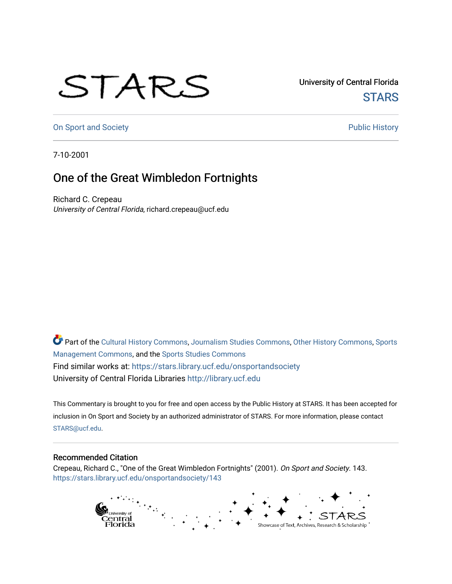## STARS

University of Central Florida **STARS** 

[On Sport and Society](https://stars.library.ucf.edu/onsportandsociety) **Public History** Public History

7-10-2001

## One of the Great Wimbledon Fortnights

Richard C. Crepeau University of Central Florida, richard.crepeau@ucf.edu

Part of the [Cultural History Commons](http://network.bepress.com/hgg/discipline/496?utm_source=stars.library.ucf.edu%2Fonsportandsociety%2F143&utm_medium=PDF&utm_campaign=PDFCoverPages), [Journalism Studies Commons,](http://network.bepress.com/hgg/discipline/333?utm_source=stars.library.ucf.edu%2Fonsportandsociety%2F143&utm_medium=PDF&utm_campaign=PDFCoverPages) [Other History Commons,](http://network.bepress.com/hgg/discipline/508?utm_source=stars.library.ucf.edu%2Fonsportandsociety%2F143&utm_medium=PDF&utm_campaign=PDFCoverPages) [Sports](http://network.bepress.com/hgg/discipline/1193?utm_source=stars.library.ucf.edu%2Fonsportandsociety%2F143&utm_medium=PDF&utm_campaign=PDFCoverPages) [Management Commons](http://network.bepress.com/hgg/discipline/1193?utm_source=stars.library.ucf.edu%2Fonsportandsociety%2F143&utm_medium=PDF&utm_campaign=PDFCoverPages), and the [Sports Studies Commons](http://network.bepress.com/hgg/discipline/1198?utm_source=stars.library.ucf.edu%2Fonsportandsociety%2F143&utm_medium=PDF&utm_campaign=PDFCoverPages) Find similar works at: <https://stars.library.ucf.edu/onsportandsociety> University of Central Florida Libraries [http://library.ucf.edu](http://library.ucf.edu/) 

This Commentary is brought to you for free and open access by the Public History at STARS. It has been accepted for inclusion in On Sport and Society by an authorized administrator of STARS. For more information, please contact [STARS@ucf.edu](mailto:STARS@ucf.edu).

## Recommended Citation

Crepeau, Richard C., "One of the Great Wimbledon Fortnights" (2001). On Sport and Society. 143. [https://stars.library.ucf.edu/onsportandsociety/143](https://stars.library.ucf.edu/onsportandsociety/143?utm_source=stars.library.ucf.edu%2Fonsportandsociety%2F143&utm_medium=PDF&utm_campaign=PDFCoverPages)

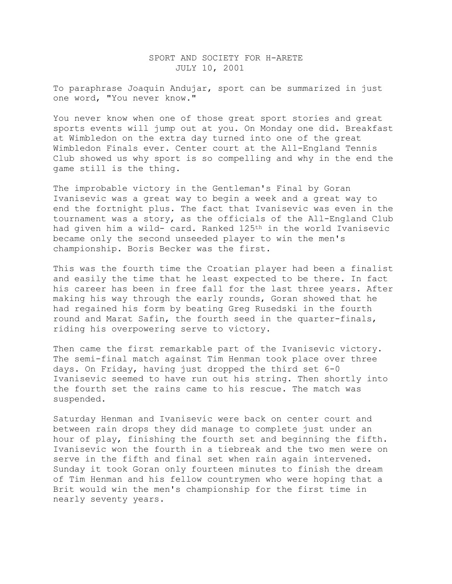## SPORT AND SOCIETY FOR H-ARETE JULY 10, 2001

To paraphrase Joaquin Andujar, sport can be summarized in just one word, "You never know."

You never know when one of those great sport stories and great sports events will jump out at you. On Monday one did. Breakfast at Wimbledon on the extra day turned into one of the great Wimbledon Finals ever. Center court at the All-England Tennis Club showed us why sport is so compelling and why in the end the game still is the thing.

The improbable victory in the Gentleman's Final by Goran Ivanisevic was a great way to begin a week and a great way to end the fortnight plus. The fact that Ivanisevic was even in the tournament was a story, as the officials of the All-England Club had given him a wild- card. Ranked 125<sup>th</sup> in the world Ivanisevic became only the second unseeded player to win the men's championship. Boris Becker was the first.

This was the fourth time the Croatian player had been a finalist and easily the time that he least expected to be there. In fact his career has been in free fall for the last three years. After making his way through the early rounds, Goran showed that he had regained his form by beating Greg Rusedski in the fourth round and Marat Safin, the fourth seed in the quarter-finals, riding his overpowering serve to victory.

Then came the first remarkable part of the Ivanisevic victory. The semi-final match against Tim Henman took place over three days. On Friday, having just dropped the third set 6-0 Ivanisevic seemed to have run out his string. Then shortly into the fourth set the rains came to his rescue. The match was suspended.

Saturday Henman and Ivanisevic were back on center court and between rain drops they did manage to complete just under an hour of play, finishing the fourth set and beginning the fifth. Ivanisevic won the fourth in a tiebreak and the two men were on serve in the fifth and final set when rain again intervened. Sunday it took Goran only fourteen minutes to finish the dream of Tim Henman and his fellow countrymen who were hoping that a Brit would win the men's championship for the first time in nearly seventy years.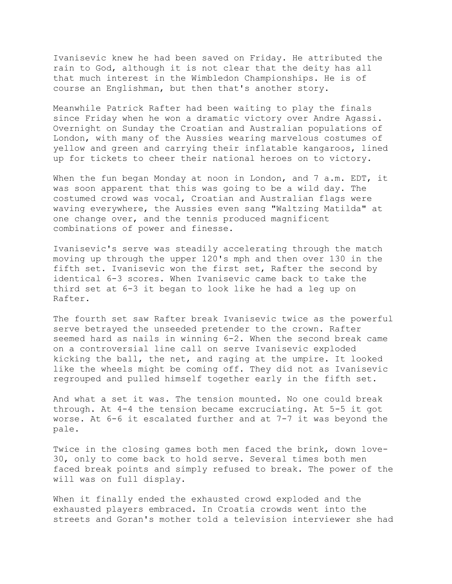Ivanisevic knew he had been saved on Friday. He attributed the rain to God, although it is not clear that the deity has all that much interest in the Wimbledon Championships. He is of course an Englishman, but then that's another story.

Meanwhile Patrick Rafter had been waiting to play the finals since Friday when he won a dramatic victory over Andre Agassi. Overnight on Sunday the Croatian and Australian populations of London, with many of the Aussies wearing marvelous costumes of yellow and green and carrying their inflatable kangaroos, lined up for tickets to cheer their national heroes on to victory.

When the fun began Monday at noon in London, and 7 a.m. EDT, it was soon apparent that this was going to be a wild day. The costumed crowd was vocal, Croatian and Australian flags were waving everywhere, the Aussies even sang "Waltzing Matilda" at one change over, and the tennis produced magnificent combinations of power and finesse.

Ivanisevic's serve was steadily accelerating through the match moving up through the upper 120's mph and then over 130 in the fifth set. Ivanisevic won the first set, Rafter the second by identical 6-3 scores. When Ivanisevic came back to take the third set at 6-3 it began to look like he had a leg up on Rafter.

The fourth set saw Rafter break Ivanisevic twice as the powerful serve betrayed the unseeded pretender to the crown. Rafter seemed hard as nails in winning 6-2. When the second break came on a controversial line call on serve Ivanisevic exploded kicking the ball, the net, and raging at the umpire. It looked like the wheels might be coming off. They did not as Ivanisevic regrouped and pulled himself together early in the fifth set.

And what a set it was. The tension mounted. No one could break through. At 4-4 the tension became excruciating. At 5-5 it got worse. At 6-6 it escalated further and at 7-7 it was beyond the pale.

Twice in the closing games both men faced the brink, down love-30, only to come back to hold serve. Several times both men faced break points and simply refused to break. The power of the will was on full display.

When it finally ended the exhausted crowd exploded and the exhausted players embraced. In Croatia crowds went into the streets and Goran's mother told a television interviewer she had